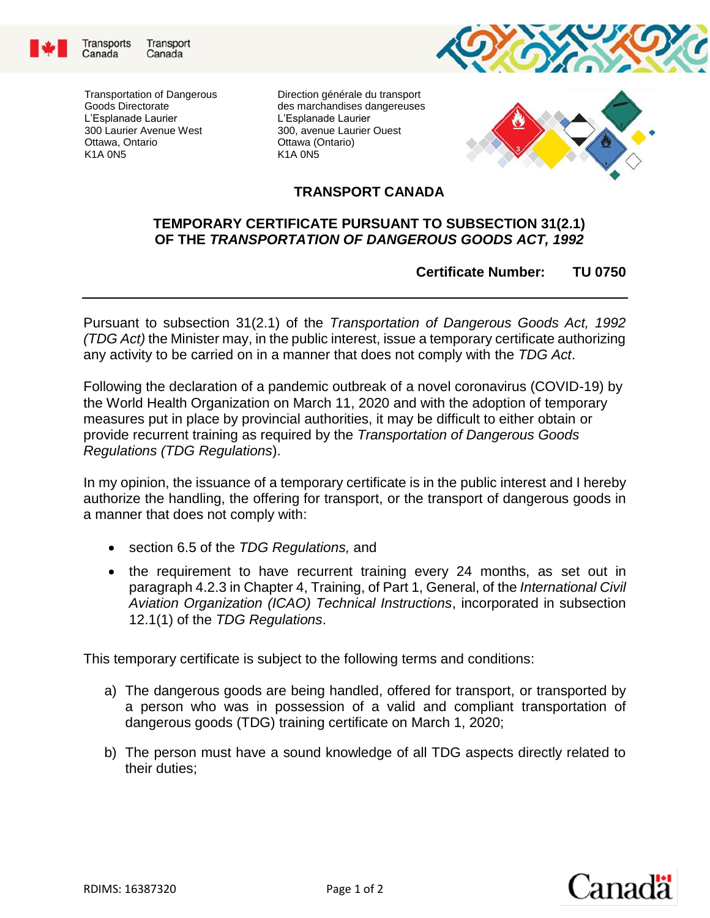



Direction générale du transport des marchandises dangereuses L'Esplanade Laurier 300, avenue Laurier Ouest Ottawa (Ontario) K1A 0N5





## **TRANSPORT CANADA**

## **TEMPORARY CERTIFICATE PURSUANT TO SUBSECTION 31(2.1) OF THE** *TRANSPORTATION OF DANGEROUS GOODS ACT, 1992*

## **Certificate Number: TU 0750**

Pursuant to subsection 31(2.1) of the *Transportation of Dangerous Goods Act, 1992 (TDG Act)* the Minister may, in the public interest, issue a temporary certificate authorizing any activity to be carried on in a manner that does not comply with the *TDG Act*.

Following the declaration of a pandemic outbreak of a novel coronavirus (COVID-19) by the World Health Organization on March 11, 2020 and with the adoption of temporary measures put in place by provincial authorities, it may be difficult to either obtain or provide recurrent training as required by the *Transportation of Dangerous Goods Regulations (TDG Regulations*).

In my opinion, the issuance of a temporary certificate is in the public interest and I hereby authorize the handling, the offering for transport, or the transport of dangerous goods in a manner that does not comply with:

- section 6.5 of the *TDG Regulations,* and
- the requirement to have recurrent training every 24 months, as set out in paragraph 4.2.3 in Chapter 4, Training, of Part 1, General, of the *International Civil Aviation Organization (ICAO) Technical Instructions*, incorporated in subsection 12.1(1) of the *TDG Regulations*.

This temporary certificate is subject to the following terms and conditions:

- a) The dangerous goods are being handled, offered for transport, or transported by a person who was in possession of a valid and compliant transportation of dangerous goods (TDG) training certificate on March 1, 2020;
- b) The person must have a sound knowledge of all TDG aspects directly related to their duties;